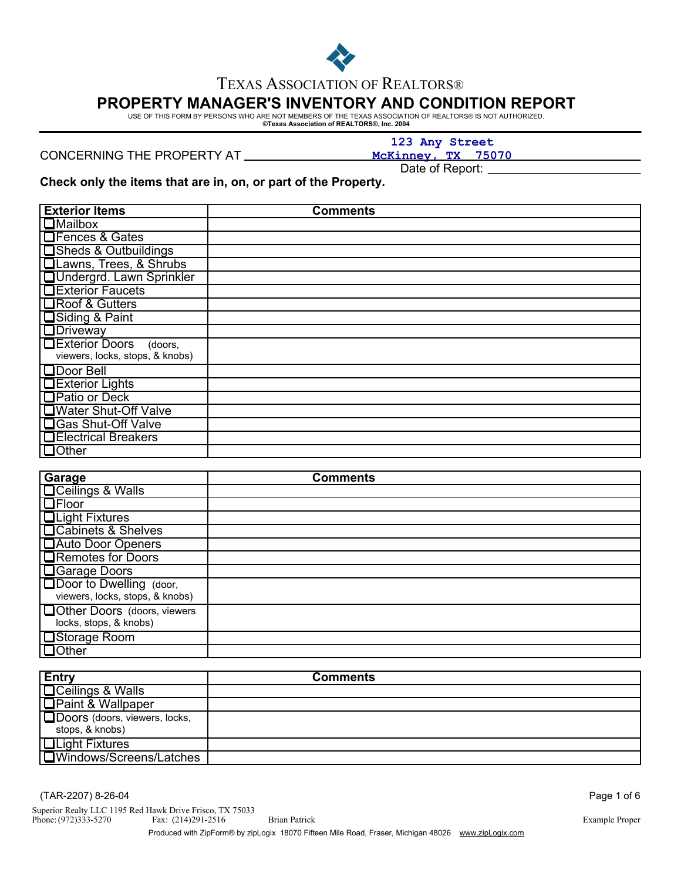

## TEXAS ASSOCIATION OF REALTORS®

## **PROPERTY MANAGER'S INVENTORY AND CONDITION REPORT**

USE OF THIS FORM BY PERSONS WHO ARE NOT MEMBERS OF THE TEXAS ASSOCIATION OF REALTORS® IS NOT AUTHORIZED. **©Texas Association of REALTORS®, Inc. 2004**

CONCERNING THE PROPERTY AT

**McKinney, TX 75070 123 Any Street**

Date of Report: \_\_\_\_\_\_

**Check only the items that are in, on, or part of the Property.**

| <b>Exterior Items</b>              | <b>Comments</b> |
|------------------------------------|-----------------|
| <b>D</b> Mailbox                   |                 |
| <b>IFences &amp; Gates</b>         |                 |
| <b>OSheds &amp; Outbuildings</b>   |                 |
| <b>QLawns, Trees, &amp; Shrubs</b> |                 |
| <b>QUndergrd. Lawn Sprinkler</b>   |                 |
| <b>DExterior Faucets</b>           |                 |
| <b>QRoof &amp; Gutters</b>         |                 |
| <b>□Siding &amp; Paint</b>         |                 |
| Driveway                           |                 |
| <b>QExterior Doors</b><br>(doors,  |                 |
| viewers, locks, stops, & knobs)    |                 |
| <b>QDoor Bell</b>                  |                 |
| $\Box$ Exterior Lights             |                 |
| <b>Q</b> Patio or Deck             |                 |
| <b>QWater Shut-Off Valve</b>       |                 |
| <b>□ Gas Shut-Off Valve</b>        |                 |
| <b>QElectrical Breakers</b>        |                 |
| $\Box$ Other                       |                 |

| Garage                                                     | <b>Comments</b> |
|------------------------------------------------------------|-----------------|
| <b>D</b> Ceilings & Walls                                  |                 |
| <b>DFloor</b>                                              |                 |
| <b>QLight Fixtures</b>                                     |                 |
| Cabinets & Shelves                                         |                 |
| <b>Auto Door Openers</b>                                   |                 |
| Remotes for Doors                                          |                 |
| Garage Doors                                               |                 |
| Door to Dwelling (door,<br>viewers, locks, stops, & knobs) |                 |
| Other Doors (doors, viewers<br>locks, stops, & knobs)      |                 |
| Storage Room                                               |                 |
| DOther                                                     |                 |

| <b>Entry</b>                         | <b>Comments</b> |
|--------------------------------------|-----------------|
| <b>QCeilings &amp; Walls</b>         |                 |
| <b>D</b> Paint & Wallpaper           |                 |
| <b>Doors</b> (doors, viewers, locks, |                 |
| stops, & knobs)                      |                 |
| <b>QLight Fixtures</b>               |                 |
| <b>□Windows/Screens/Latches</b>      |                 |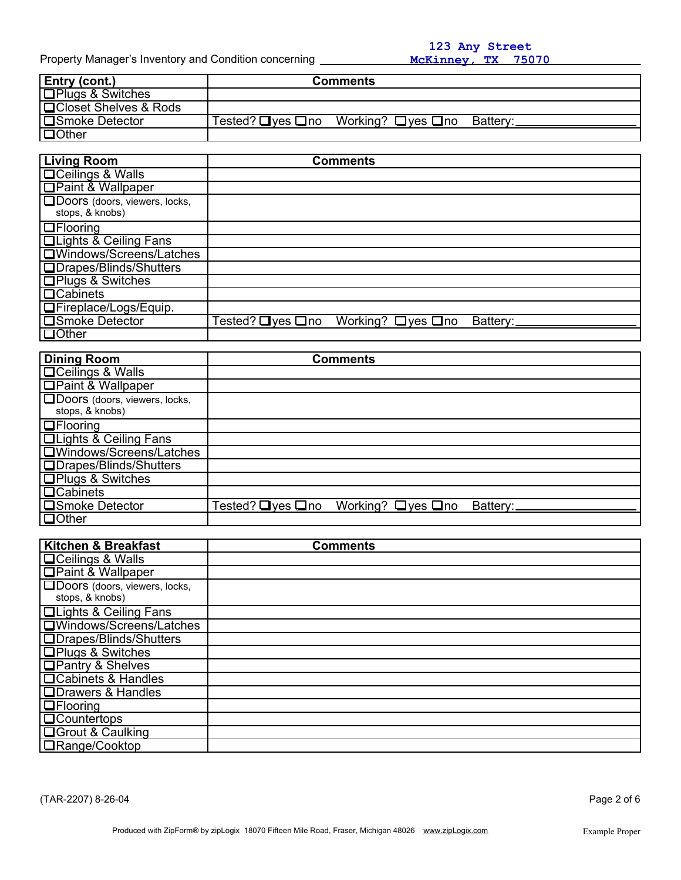| 123 Any Street     |  |  |
|--------------------|--|--|
| McKinney. TX 75070 |  |  |

| Entry (cont.)           | <b>Comments</b>                        |          |
|-------------------------|----------------------------------------|----------|
| $\Box$ Plugs & Switches |                                        |          |
| □Closet Shelves & Rods  |                                        |          |
| <b>□Smoke Detector</b>  | Tested? □ yes □ no Working? □ yes □ no | Batterv: |
| $\Box$ Other            |                                        |          |

| <b>Living Room</b>                                       | <b>Comments</b>                                                                                |
|----------------------------------------------------------|------------------------------------------------------------------------------------------------|
| <b>OCeilings &amp; Walls</b>                             |                                                                                                |
| □ Paint & Wallpaper                                      |                                                                                                |
| <b>ODOOIS</b> (doors, viewers, locks,<br>stops, & knobs) |                                                                                                |
| $\Box$ Flooring                                          |                                                                                                |
| <b>QLights &amp; Ceiling Fans</b>                        |                                                                                                |
| □Windows/Screens/Latches                                 |                                                                                                |
| □Drapes/Blinds/Shutters                                  |                                                                                                |
| <b>OPlugs &amp; Switches</b>                             |                                                                                                |
| $\Box$ Cabinets                                          |                                                                                                |
| □Fireplace/Logs/Equip.                                   |                                                                                                |
| <b>OSmoke Detector</b>                                   | $\overline{\text{Tested}}$ ? $\Box$ yes $\Box$ no<br>Working? $\Box$ yes $\Box$ no<br>Battery: |
| $\Box$ Other                                             |                                                                                                |

| <b>Dining Room</b>                |                              | <b>Comments</b>               |          |
|-----------------------------------|------------------------------|-------------------------------|----------|
| $\Box$ Ceilings & Walls           |                              |                               |          |
| <b>□Paint &amp; Wallpaper</b>     |                              |                               |          |
| Doors (doors, viewers, locks,     |                              |                               |          |
| stops, & knobs)                   |                              |                               |          |
| $\Box$ Flooring                   |                              |                               |          |
| <b>QLights &amp; Ceiling Fans</b> |                              |                               |          |
| UWindows/Screens/Latches          |                              |                               |          |
| <b>IDrapes/Blinds/Shutters</b>    |                              |                               |          |
| <b>IDPlugs &amp; Switches</b>     |                              |                               |          |
| <b>□</b> Cabinets                 |                              |                               |          |
| □Smoke Detector                   | Tested? $\Box$ yes $\Box$ no | Working? $\Box$ yes $\Box$ no | Battery: |
| <b>□</b> Other                    |                              |                               |          |

| Kitchen & Breakfast                   | <b>Comments</b> |
|---------------------------------------|-----------------|
| $\Box$ Ceilings & Walls               |                 |
| <b>ID</b> Paint & Wallpaper           |                 |
| <b>□Doors</b> (doors, viewers, locks, |                 |
| stops, & knobs)                       |                 |
| <b>QLights &amp; Ceiling Fans</b>     |                 |
| □ Windows/Screens/Latches             |                 |
| □Drapes/Blinds/Shutters               |                 |
| <b>□Plugs &amp; Switches</b>          |                 |
| <b>□Pantry &amp; Shelves</b>          |                 |
| <b>□ Cabinets &amp; Handles</b>       |                 |
| <b>□Drawers &amp; Handles</b>         |                 |
| $\Box$ Flooring                       |                 |
| <b>□</b> Countertops                  |                 |
| <b>□ Grout &amp; Caulking</b>         |                 |
| □Range/Cooktop                        |                 |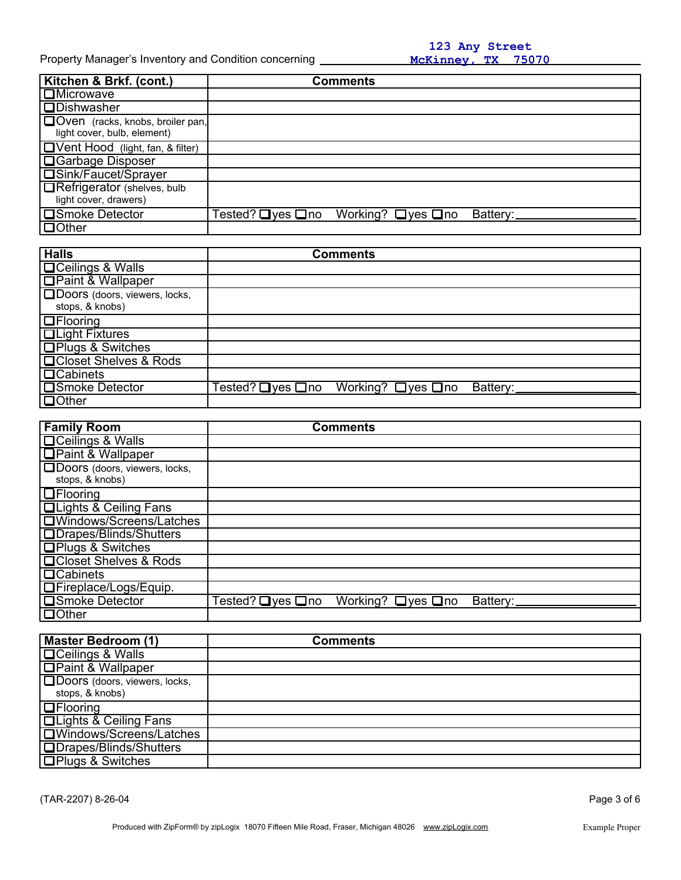| Kitchen & Brkf. (cont.)                                           |                        | <b>Comments</b>               |          |
|-------------------------------------------------------------------|------------------------|-------------------------------|----------|
| I□Microwave                                                       |                        |                               |          |
| <b>Dishwasher</b>                                                 |                        |                               |          |
| □ Oven (racks, knobs, broiler pan,<br>light cover, bulb, element) |                        |                               |          |
| <b>DVent Hood</b> (light, fan, & filter)                          |                        |                               |          |
| <b>□ Garbage Disposer</b>                                         |                        |                               |          |
| <b>Sink/Faucet/Sprayer</b>                                        |                        |                               |          |
| <b>TRefrigerator</b> (shelves, bulb<br>light cover, drawers)      |                        |                               |          |
| <b>□Smoke Detector</b>                                            | $Tested?$ $Qves$ $Qno$ | Working? $\Box$ yes $\Box$ no | Battery: |
| <b>D</b> Other                                                    |                        |                               |          |

| <b>Halls</b>                                      |                                                   | <b>Comments</b>               |          |
|---------------------------------------------------|---------------------------------------------------|-------------------------------|----------|
| □Ceilings & Walls                                 |                                                   |                               |          |
| <b>OPaint &amp; Wallpaper</b>                     |                                                   |                               |          |
| □Doors (doors, viewers, locks,<br>stops, & knobs) |                                                   |                               |          |
| $\Box$ Flooring                                   |                                                   |                               |          |
| $\Box$ Light Fixtures                             |                                                   |                               |          |
| □Plugs & Switches                                 |                                                   |                               |          |
| <b>QCloset Shelves &amp; Rods</b>                 |                                                   |                               |          |
| $\Box$ Cabinets                                   |                                                   |                               |          |
| <b>OSmoke Detector</b>                            | $\overline{\text{Tested}}$ ? $\Box$ yes $\Box$ no | Working? $\Box$ yes $\Box$ no | Battery: |
| $\Box$ Other                                      |                                                   |                               |          |

| <b>Family Room</b>                    | <b>Comments</b>                                                                                |
|---------------------------------------|------------------------------------------------------------------------------------------------|
| <b>□ Ceilings &amp; Walls</b>         |                                                                                                |
| <b>Paint &amp; Wallpaper</b>          |                                                                                                |
| <b>□Doors</b> (doors, viewers, locks, |                                                                                                |
| stops, & knobs)                       |                                                                                                |
| <b>OFlooring</b>                      |                                                                                                |
| <b>QLights &amp; Ceiling Fans</b>     |                                                                                                |
| □ Windows/Screens/Latches             |                                                                                                |
| <b>ODrapes/Blinds/Shutters</b>        |                                                                                                |
| <b>□Plugs &amp; Switches</b>          |                                                                                                |
| <b>QCloset Shelves &amp; Rods</b>     |                                                                                                |
| <b>QCabinets</b>                      |                                                                                                |
| <b>TFireplace/Logs/Equip.</b>         |                                                                                                |
| Smoke Detector                        | $\overline{\text{Tested}}$ ? $\Box$ yes $\Box$ no<br>Working? $\Box$ yes $\Box$ no<br>Battery: |
| l□Other                               |                                                                                                |

| Master Bedroom (1)                                       | <b>Comments</b> |
|----------------------------------------------------------|-----------------|
| □Ceilings & Walls                                        |                 |
| <b>□Paint &amp; Wallpaper</b>                            |                 |
| <b>□Doors</b> (doors, viewers, locks,<br>stops, & knobs) |                 |
| $\Box$ Flooring                                          |                 |
| <b>QLights &amp; Ceiling Fans</b>                        |                 |
| □ Windows/Screens/Latches                                |                 |
| <b>Drapes/Blinds/Shutters</b>                            |                 |
| <b>□Plugs &amp; Switches</b>                             |                 |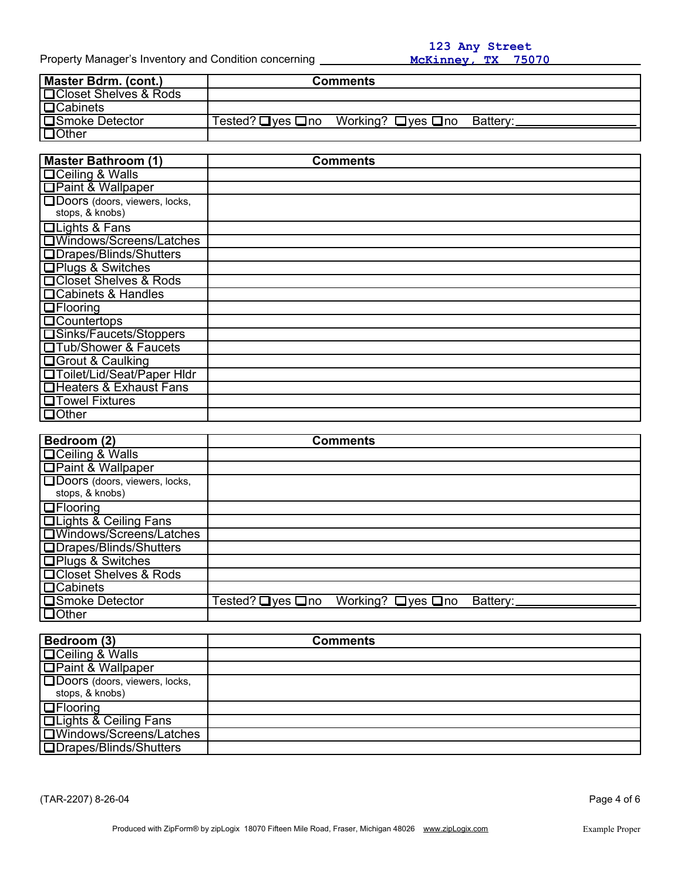| Master Bdrm. (cont.)               | <b>Comments</b>                                 |
|------------------------------------|-------------------------------------------------|
| <b>□ Closet Shelves &amp; Rods</b> |                                                 |
| I□Cabinets                         |                                                 |
| I□Smoke Detector                   | Tested? □ yes □ no Working? □ yes □ no Battery: |
| <b>DOther</b>                      |                                                 |

| <b>Master Bathroom (1)</b>                       | <b>Comments</b> |
|--------------------------------------------------|-----------------|
| □Ceiling & Walls                                 |                 |
| <b>□Paint &amp; Wallpaper</b>                    |                 |
| Doors (doors, viewers, locks,<br>stops, & knobs) |                 |
| <b>QLights &amp; Fans</b>                        |                 |
| □ Windows/Screens/Latches                        |                 |
| □Drapes/Blinds/Shutters                          |                 |
| <b>□Plugs &amp; Switches</b>                     |                 |
| □Closet Shelves & Rods                           |                 |
| □ Cabinets & Handles                             |                 |
| $\Box$ Flooring                                  |                 |
| <b>□</b> Countertops                             |                 |
| Sinks/Faucets/Stoppers                           |                 |
| <b>□Tub/Shower &amp; Faucets</b>                 |                 |
| <b>□ Grout &amp; Caulking</b>                    |                 |
| <b>Toilet/Lid/Seat/Paper Hldr</b>                |                 |
| <b>Heaters &amp; Exhaust Fans</b>                |                 |
| <b>IDTowel Fixtures</b>                          |                 |
| l□Other                                          |                 |

| Bedroom (2)                           |                                                   | <b>Comments</b>               |          |
|---------------------------------------|---------------------------------------------------|-------------------------------|----------|
| <b>□ Ceiling &amp; Walls</b>          |                                                   |                               |          |
| <b>IDPaint &amp; Wallpaper</b>        |                                                   |                               |          |
| <b>□Doors</b> (doors, viewers, locks, |                                                   |                               |          |
| stops, & knobs)                       |                                                   |                               |          |
| $\Box$ Flooring                       |                                                   |                               |          |
| <b>QLights &amp; Ceiling Fans</b>     |                                                   |                               |          |
| Windows/Screens/Latches               |                                                   |                               |          |
| <b>Drapes/Blinds/Shutters</b>         |                                                   |                               |          |
| <b>□Plugs &amp; Switches</b>          |                                                   |                               |          |
| <b>QCloset Shelves &amp; Rods</b>     |                                                   |                               |          |
| <b>□</b> Cabinets                     |                                                   |                               |          |
| <b>□Smoke Detector</b>                | $\overline{\text{Tested}}$ ? $\Box$ yes $\Box$ no | Working? $\Box$ yes $\Box$ no | Battery: |
| <b>D</b> Other                        |                                                   |                               |          |

| Bedroom (3)                           | <b>Comments</b> |
|---------------------------------------|-----------------|
| <b>□ Ceiling &amp; Walls</b>          |                 |
| <b>□Paint &amp; Wallpaper</b>         |                 |
| <b>□Doors</b> (doors, viewers, locks, |                 |
| stops, & knobs)                       |                 |
| $\Box$ Flooring                       |                 |
| <b>QLights &amp; Ceiling Fans</b>     |                 |
| □ Windows/Screens/Latches             |                 |
| <b>IDrapes/Blinds/Shutters</b>        |                 |

(TAR-2207) 8-26-04 Page 4 of 6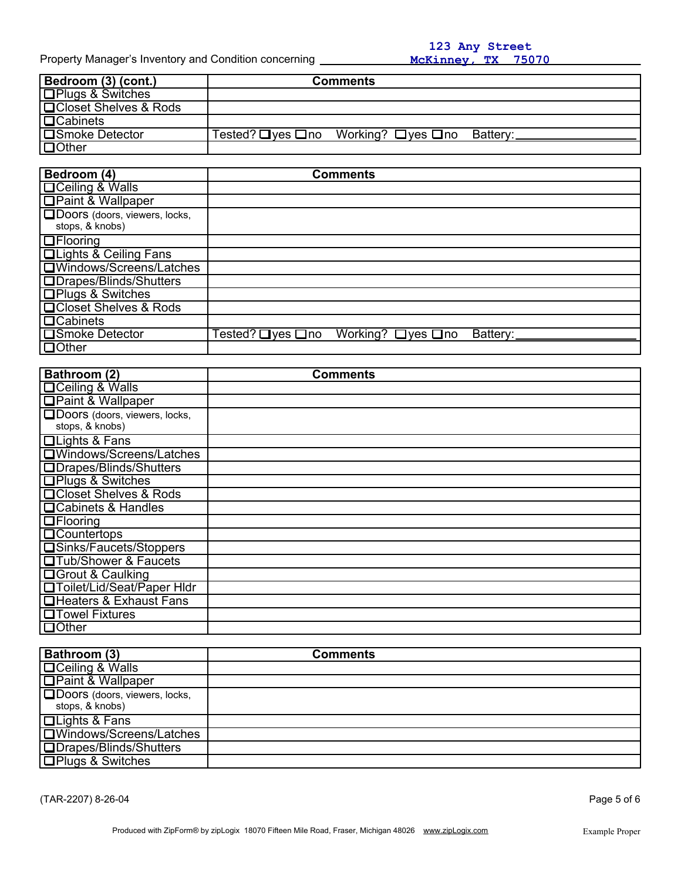| Bedroom (3) (cont.)     | <b>Comments</b>                                  |
|-------------------------|--------------------------------------------------|
| $\Box$ Plugs & Switches |                                                  |
| □ Closet Shelves & Rods |                                                  |
| $\Box$ Cabinets         |                                                  |
| □Smoke Detector         | Tested? □ yes □ no Working? □ yes □ no Battery:_ |
| $\Box$ Other            |                                                  |

| Bedroom (4)                                             | <b>Comments</b>                                                                                |
|---------------------------------------------------------|------------------------------------------------------------------------------------------------|
| □Ceiling & Walls                                        |                                                                                                |
| <b>OPaint &amp; Wallpaper</b>                           |                                                                                                |
| <b>ODOOR</b> (doors, viewers, locks,<br>stops, & knobs) |                                                                                                |
| $\Box$ Flooring                                         |                                                                                                |
| <b>QLights &amp; Ceiling Fans</b>                       |                                                                                                |
| <b>OWindows/Screens/Latches</b>                         |                                                                                                |
| □Drapes/Blinds/Shutters                                 |                                                                                                |
| □Plugs & Switches                                       |                                                                                                |
| <b>QCloset Shelves &amp; Rods</b>                       |                                                                                                |
| <b>Q</b> Cabinets                                       |                                                                                                |
| <b>□Smoke Detector</b>                                  | $\overline{\text{Tested}}$ ? $\Box$ yes $\Box$ no<br>Working? $\Box$ yes $\Box$ no<br>Battery: |
| $\Box$ Other                                            |                                                                                                |

| <b>Bathroom (2)</b>                                      | <b>Comments</b> |
|----------------------------------------------------------|-----------------|
| <b>□ Ceiling &amp; Walls</b>                             |                 |
| <b>□Paint &amp; Wallpaper</b>                            |                 |
| <b>□Doors</b> (doors, viewers, locks,<br>stops, & knobs) |                 |
| <b>QLights &amp; Fans</b>                                |                 |
| <b>□Windows/Screens/Latches</b>                          |                 |
| <b>□Drapes/Blinds/Shutters</b>                           |                 |
| <b>□Plugs &amp; Switches</b>                             |                 |
| □Closet Shelves & Rods                                   |                 |
| □ Cabinets & Handles                                     |                 |
| $\Box$ Flooring                                          |                 |
| <b>Q</b> Countertops                                     |                 |
| Sinks/Faucets/Stoppers                                   |                 |
| <b>D</b> Tub/Shower & Faucets                            |                 |
| <b>□ Grout &amp; Caulking</b>                            |                 |
| <b>Toilet/Lid/Seat/Paper Hldr</b>                        |                 |
| <b>Heaters &amp; Exhaust Fans</b>                        |                 |
| <b>DTowel Fixtures</b>                                   |                 |
| $\Box$ Other                                             |                 |

| <b>Bathroom (3)</b>                               | <b>Comments</b> |
|---------------------------------------------------|-----------------|
| □Ceiling & Walls                                  |                 |
| □ Paint & Wallpaper                               |                 |
| □Doors (doors, viewers, locks,<br>stops, & knobs) |                 |
| <b>QLights &amp; Fans</b>                         |                 |
| □ Windows/Screens/Latches                         |                 |
| <b>ODrapes/Blinds/Shutters</b>                    |                 |
| $\Box$ Plugs & Switches                           |                 |

(TAR-2207) 8-26-04 Page 5 of 6